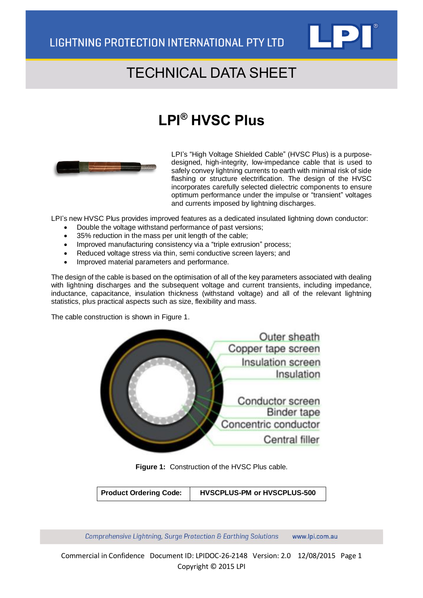

## TECHNICAL DATA SHEET

## **LPI® HVSC Plus**



LPI's "High Voltage Shielded Cable" (HVSC Plus) is a purposedesigned, high-integrity, low-impedance cable that is used to safely convey lightning currents to earth with minimal risk of side flashing or structure electrification. The design of the HVSC incorporates carefully selected dielectric components to ensure optimum performance under the impulse or "transient" voltages and currents imposed by lightning discharges.

LPI's new HVSC Plus provides improved features as a dedicated insulated lightning down conductor:

- Double the voltage withstand performance of past versions;
- 35% reduction in the mass per unit length of the cable;
- Improved manufacturing consistency via a "triple extrusion" process;
- Reduced voltage stress via thin, semi conductive screen layers; and
- Improved material parameters and performance.

The design of the cable is based on the optimisation of all of the key parameters associated with dealing with lightning discharges and the subsequent voltage and current transients, including impedance, inductance, capacitance, insulation thickness (withstand voltage) and all of the relevant lightning statistics, plus practical aspects such as size, flexibility and mass.

The cable construction is shown in Figure 1.



**Figure 1:** Construction of the HVSC Plus cable.

Comprehensive Lightning, Surge Protection & Earthing Solutions www.lpi.com.au

Commercial in Confidence Document ID: LPIDOC-26-2148 Version: 2.0 12/08/2015 Page 1 Copyright © 2015 LPI